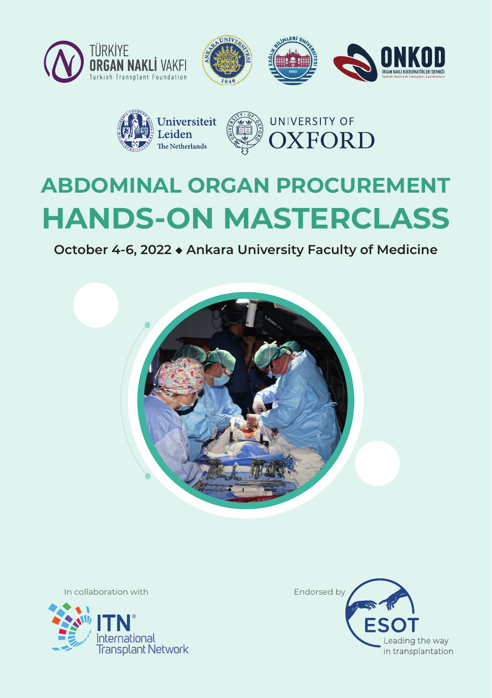





# **ABDOMINAL ORGAN PROCUREMENT HANDS-ON MASTERCLASS**

**October 4-6, 2022 ◆ Ankara University Faculty of Medicine**



In collaboration with **Endorsed by** 



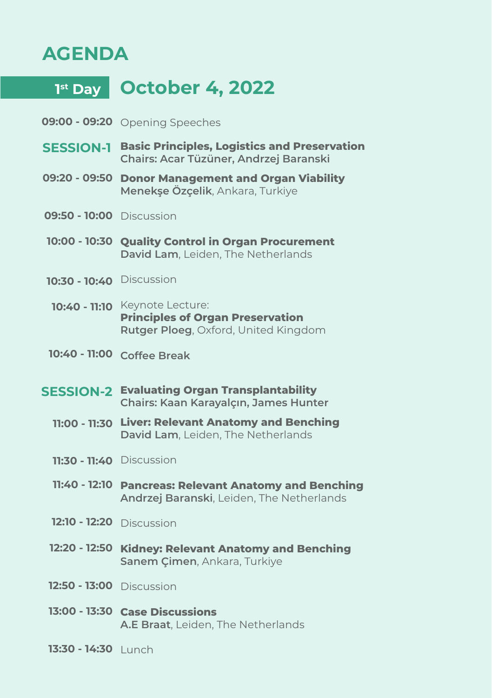#### **AGENDA**

**1st Day October 4, 2022**

- **09:00 09:20** Opening Speeches
- **Basic Principles, Logistics and Preservation SESSION-1 Chairs: Acar Tüzüner, Andrzej Baranski**
- **Donor Management and Organ Viability 09:20 09:50 Menekşe Özçelik**, Ankara, Turkiye
- **09:50 10:00** Discussion
- **Quality Control in Organ Procurement 10:00 10:30 David Lam**, Leiden, The Netherlands
- **10:30 10:40** Discussion
- Keynote Lecture: **10:40 11:10 Principles of Organ Preservation Rutger Ploeg**, Oxford, United Kingdom
- **Coffee Break 10:40 11:00**
- **Evaluating Organ Transplantability SESSION-2Chairs: Kaan Karayalçın, James Hunter**
	- **Liver: Relevant Anatomy and Benching 11:00 11:30 David Lam**, Leiden, The Netherlands
	- **11:30 11:40** Discussion
	- **Pancreas: Relevant Anatomy and Benching 11:40 12:10 Andrzej Baranski**, Leiden, The Netherlands
	- **12:10 12:20** Discussion
	- **Kidney: Relevant Anatomy and Benching 12:20 12:50 Sanem Çimen**, Ankara, Turkiye
	- **12:50 13:00** Discussion
	- **Case Discussions 13:00 13:30 A.E Braat**, Leiden, The Netherlands
	- 13:30 14:30 Lunch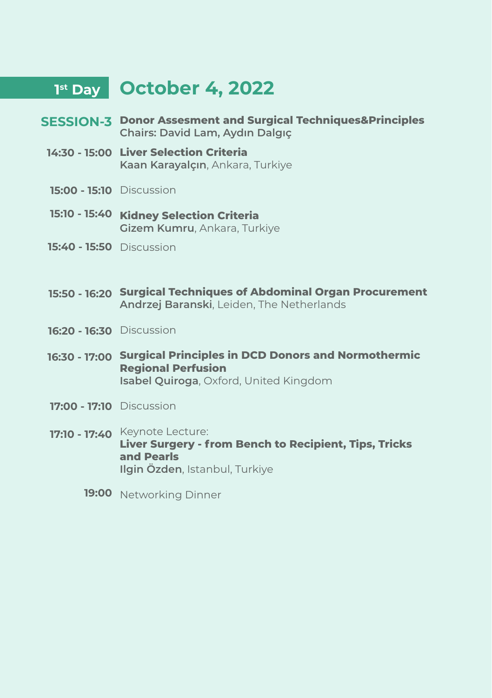### **1st Day October 4, 2022**

- **Donor Assesment and Surgical Techniques&Principles SESSION-3 Chairs: David Lam, Aydın Dalgıç**
- **Liver Selection Criteria 14:30 15:00 Kaan Karayalçın**, Ankara, Turkiye
- **15:00 15:10** Discussion
- **Kidney Selection Criteria 15:10 15:40 Gizem Kumru**, Ankara, Turkiye
- **15:40 15:50** Discussion
- **Surgical Techniques of Abdominal Organ Procurement 15:50 16:20 Andrzej Baranski**, Leiden, The Netherlands
- **16:20 16:30** Discussion
- **Surgical Principles in DCD Donors and Normothermic 16:30 17:00 Regional Perfusion Isabel Quiroga**, Oxford, United Kingdom
- **17:00 17:10** Discussion
- **17:10 17:40** Keynote Lecture: **Liver Surgery - from Bench to Recipient, Tips, Tricks and Pearls Ilgin Özden**, Istanbul, Turkiye
	- **19:00** Networking Dinner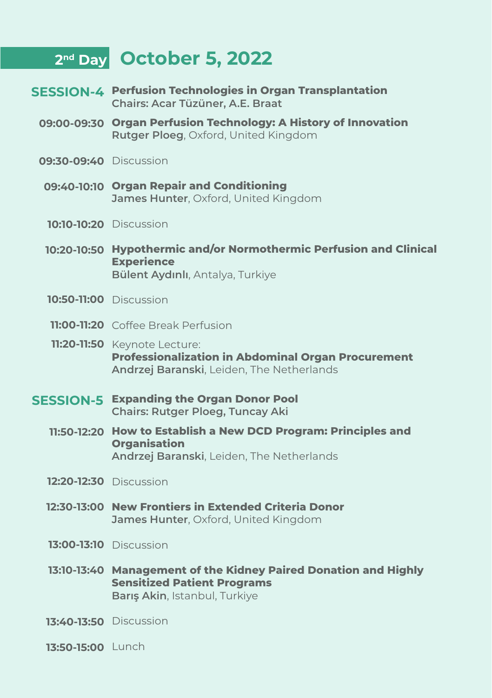### **2nd Day October 5, 2022**

- **Perfusion Technologies in Organ Transplantation SESSION-4Chairs: Acar Tüzüner, A.E. Braat**
	- **09:00-09:30 Organ Perfusion Technology: A History of Innovation Rutger Ploeg**, Oxford, United Kingdom
	- **09:30-09:40** Discussion
	- **Organ Repair and Conditioning 09:40-10:10 James Hunter**, Oxford, United Kingdom
	- **10:10-10:20** Discussion
	- **Hypothermic and/or Normothermic Perfusion and Clinical 10:20-10:50 Experience Bülent Aydınlı**, Antalya, Turkiye
	- **10:50-11:00** Discussion
	- **11:00-11:20** Coffee Break Perfusion
	- **11:20-11:50** Keynote Lecture: **Professionalization in Abdominal Organ Procurement Andrzej Baranski**, Leiden, The Netherlands
- **Expanding the Organ Donor Pool SESSION-5 Chairs: Rutger Ploeg, Tuncay Aki** 
	- **How to Establish a New DCD Program: Principles and 11:50-12:20 Organisation Andrzej Baranski**, Leiden, The Netherlands
	- **12:20-12:30** Discussion
	- **New Frontiers in Extended Criteria Donor 12:30-13:00 James Hunter**, Oxford, United Kingdom
	- **13:00-13:10** Discussion
	- **Management of the Kidney Paired Donation and Highly 13:10-13:40 Sensitized Patient Programs Barış Akin**, Istanbul, Turkiye
	- **13:40-13:50** Discussion
	- 13:50-15:00 Lunch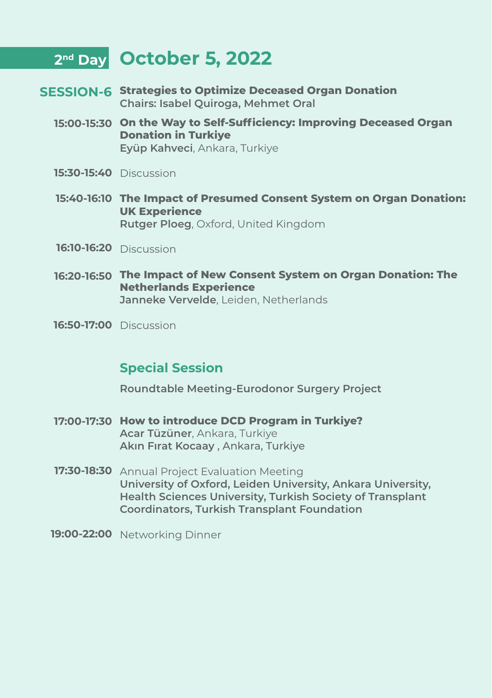### **2nd Day October 5, 2022**

- **Strategies to Optimize Deceased Organ Donation SESSION-6 Chairs: Isabel Quiroga, Mehmet Oral** 
	- **On the Way to Self-Sufficiency: Improving Deceased Organ 15:00-15:30 Donation in Turkiye Eyüp Kahveci**, Ankara, Turkiye
	- **15:30-15:40** Discussion
	- **The Impact of Presumed Consent System on Organ Donation: 15:40-16:10 UK Experience Rutger Ploeg**, Oxford, United Kingdom
	- **16:10-16:20** Discussion
	- **The Impact of New Consent System on Organ Donation: The 16:20-16:50 Netherlands Experience Janneke Vervelde**, Leiden, Netherlands
	- **16:50-17:00** Discussion

#### **Special Session**

**Roundtable Meeting-Eurodonor Surgery Project**

- **How to introduce DCD Program in Turkiye? 17:00-17:30 Acar Tüzüner**, Ankara, Turkiye **Akın Fırat Kocaay** , Ankara, Turkiye
- **17:30-18:30** Annual Project Evaluation Meeting **University of Oxford, Leiden University, Ankara University, Health Sciences University, Turkish Society of Transplant Coordinators, Turkish Transplant Foundation**
- **19:00-22:00** Networking Dinner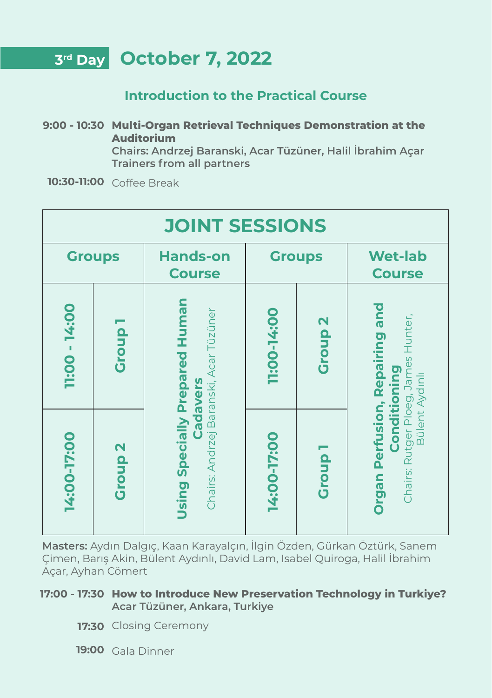### **3rd Day October 7, 2022**

#### **Introduction to the Practical Course**

**Multi-Organ Retrieval Techniques Demonstration at the 9:00 - 10:30 Auditorium Chairs: Andrzej Baranski, Acar Tüzüner, Halil İbrahim Açar**

**Trainers from all partners**

**10:30-11:00** Coffee Break

| <b>JOINT SESSIONS</b> |                |                                                                                            |               |                    |                                                                                                                              |  |
|-----------------------|----------------|--------------------------------------------------------------------------------------------|---------------|--------------------|------------------------------------------------------------------------------------------------------------------------------|--|
| <b>Groups</b>         |                | <b>Hands-on</b><br><b>Course</b>                                                           | <b>Groups</b> |                    | <b>Wet-lab</b><br><b>Course</b>                                                                                              |  |
| 1:00 - 14:00          | Group          | Using Specially Prepared Human<br>Acar Tüzüner<br>Baranski,<br>Cadavers<br>Chairs: Andrzej | 11:00-14:00   | Group <sub>2</sub> | and<br>Chairs: Rutger Ploeg, James Hunter,<br>Repairing<br>pring<br>Bülent Aydınlı<br>ē<br><b>Organ Perfusion,</b><br>Condit |  |
| 14:00-17:00           | <b>Group 2</b> |                                                                                            | 14:00-17:00   | Group <sub>1</sub> |                                                                                                                              |  |

**Masters:** Aydın Dalgıç, Kaan Karayalçın, İlgin Özden, Gürkan Öztürk, Sanem Çimen, Barış Akin, Bülent Aydınlı, David Lam, Isabel Quiroga, Halil İbrahim Açar, Ayhan Cömert

#### **How to Introduce New Preservation Technology in Turkiye? 17:00 - 17:30 Acar Tüzüner, Ankara, Turkiye**

- 17:30 Closing Ceremony
- **19:00** Gala Dinner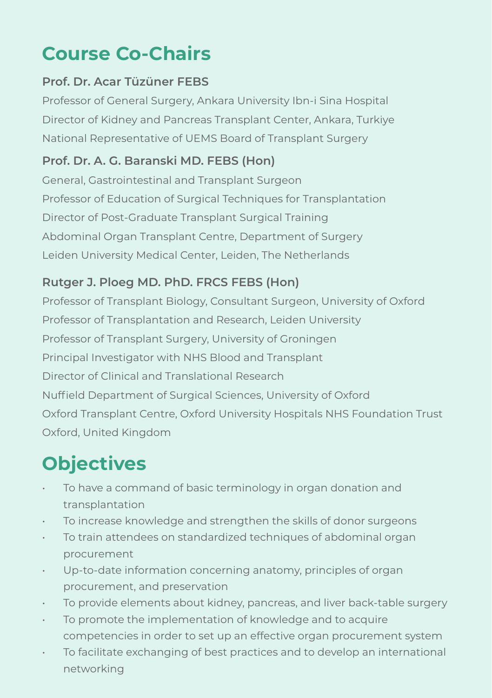## **Course Co-Chairs**

#### **Prof. Dr. Acar Tüzüner FEBS**

Professor of General Surgery, Ankara University Ibn-i Sina Hospital Director of Kidney and Pancreas Transplant Center, Ankara, Turkiye National Representative of UEMS Board of Transplant Surgery

#### **Prof. Dr. A. G. Baranski MD. FEBS (Hon)**

General, Gastrointestinal and Transplant Surgeon Professor of Education of Surgical Techniques for Transplantation Director of Post-Graduate Transplant Surgical Training Abdominal Organ Transplant Centre, Department of Surgery Leiden University Medical Center, Leiden, The Netherlands

#### **Rutger J. Ploeg MD. PhD. FRCS FEBS (Hon)**

Professor of Transplant Biology, Consultant Surgeon, University of Oxford Professor of Transplantation and Research, Leiden University Professor of Transplant Surgery, University of Groningen Principal Investigator with NHS Blood and Transplant Director of Clinical and Translational Research Nuffield Department of Surgical Sciences, University of Oxford Oxford Transplant Centre, Oxford University Hospitals NHS Foundation Trust Oxford, United Kingdom

## **Objectives**

- To have a command of basic terminology in organ donation and transplantation
- To increase knowledge and strengthen the skills of donor surgeons
- To train attendees on standardized techniques of abdominal organ procurement
- Up-to-date information concerning anatomy, principles of organ procurement, and preservation
- To provide elements about kidney, pancreas, and liver back-table surgery
- To promote the implementation of knowledge and to acquire competencies in order to set up an effective organ procurement system
- To facilitate exchanging of best practices and to develop an international networking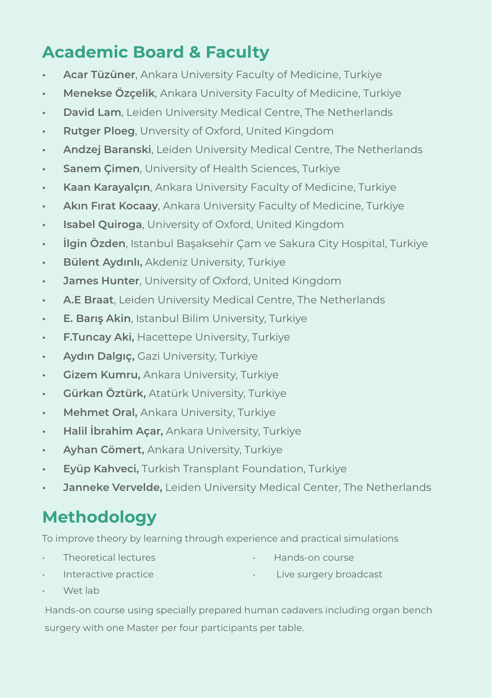### **Academic Board & Faculty**

- **• Acar Tüzüner**, Ankara University Faculty of Medicine, Turkiye
- **• Menekse Özçelik**, Ankara University Faculty of Medicine, Turkiye
- **• David Lam**, Leiden University Medical Centre, The Netherlands
- **• Rutger Ploeg**, Unversity of Oxford, United Kingdom
- **• Andzej Baranski**, Leiden University Medical Centre, The Netherlands
- **• Sanem Çimen**, University of Health Sciences, Turkiye
- **• Kaan Karayalçın**, Ankara University Faculty of Medicine, Turkiye
- **• Akın Fırat Kocaay**, Ankara University Faculty of Medicine, Turkiye
- **• Isabel Quiroga**, University of Oxford, United Kingdom
- **• İlgin Özden**, Istanbul Başaksehir Çam ve Sakura City Hospital, Turkiye
- **• Bülent Aydınlı,** Akdeniz University, Turkiye
- **• James Hunter**, University of Oxford, United Kingdom
- **• A.E Braat**, Leiden University Medical Centre, The Netherlands
- **• E. Barış Akin**, Istanbul Bilim University, Turkiye
- **• F.Tuncay Aki,** Hacettepe University, Turkiye
- **• Aydın Dalgıç,** Gazi University, Turkiye
- **• Gizem Kumru,** Ankara University, Turkiye
- **• Gürkan Öztürk,** Atatürk University, Turkiye
- **• Mehmet Oral,** Ankara University, Turkiye
- **• Halil İbrahim Açar,** Ankara University, Turkiye
- **• Ayhan Cömert,** Ankara University, Turkiye
- **• Eyüp Kahveci,** Turkish Transplant Foundation, Turkiye
- **• Janneke Vervelde,** Leiden University Medical Center, The Netherlands

### **Methodology**

To improve theory by learning through experience and practical simulations

• Theoretical lectures

• Hands-on course

Interactive practice

• Live surgery broadcast

Wet lab

Hands-on course using specially prepared human cadavers including organ bench surgery with one Master per four participants per table.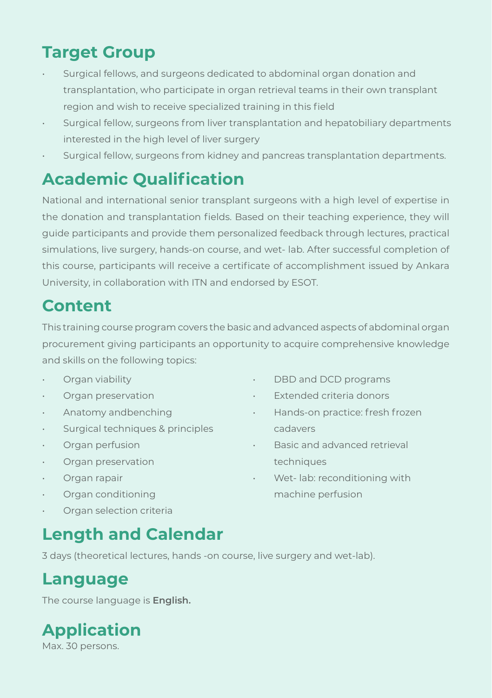### **Target Group**

- Surgical fellows, and surgeons dedicated to abdominal organ donation and transplantation, who participate in organ retrieval teams in their own transplant region and wish to receive specialized training in this field
- Surgical fellow, surgeons from liver transplantation and hepatobiliary departments interested in the high level of liver surgery
- Surgical fellow, surgeons from kidney and pancreas transplantation departments.

### **Academic Qualification**

National and international senior transplant surgeons with a high level of expertise in the donation and transplantation fields. Based on their teaching experience, they will guide participants and provide them personalized feedback through lectures, practical simulations, live surgery, hands-on course, and wet- lab. After successful completion of this course, participants will receive a certificate of accomplishment issued by Ankara University, in collaboration with ITN and endorsed by ESOT.

### **Content**

This training course program covers the basic and advanced aspects of abdominal organ procurement giving participants an opportunity to acquire comprehensive knowledge and skills on the following topics:

- Organ viability
- Organ preservation
- Anatomy andbenching
- Surgical techniques & principles
- Organ perfusion
- Organ preservation
- Organ rapair
- Organ conditioning
- Organ selection criteria
- **Length and Calendar**

3 days (theoretical lectures, hands -on course, live surgery and wet-lab).

### **Language**

The course language is **English.**

## **Application**

Max. 30 persons.

- DBD and DCD programs
- Extended criteria donors
- Hands-on practice: fresh frozen cadavers
- Basic and advanced retrieval techniques
- Wet- lab: reconditioning with machine perfusion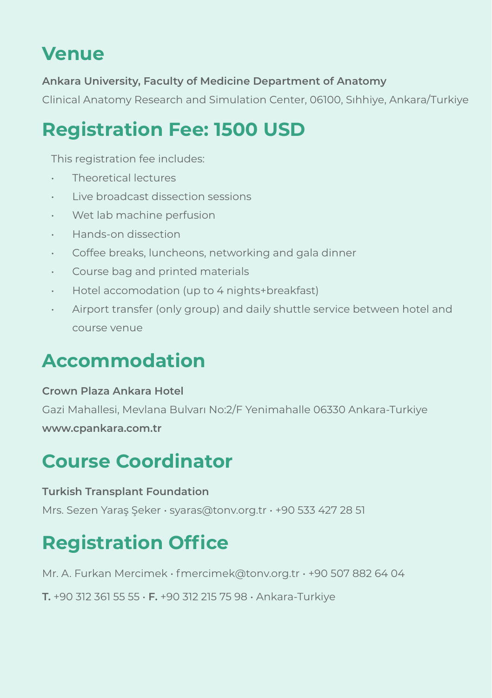## **Venue**

**Ankara University, Faculty of Medicine Department of Anatomy**

Clinical Anatomy Research and Simulation Center, 06100, Sıhhiye, Ankara/Turkiye

## **Registration Fee: 1500 USD**

This registration fee includes:

- Theoretical lectures
- Live broadcast dissection sessions
- Wet lab machine perfusion
- Hands-on dissection
- Coffee breaks, luncheons, networking and gala dinner
- Course bag and printed materials
- Hotel accomodation (up to 4 nights+breakfast)
- Airport transfer (only group) and daily shuttle service between hotel and course venue

## **Accommodation**

#### **Crown Plaza Ankara Hotel**

Gazi Mahallesi, Mevlana Bulvarı No:2/F Yenimahalle 06330 Ankara-Turkiye **www.cpankara.com.tr**

## **Course Coordinator**

#### **Turkish Transplant Foundation**

Mrs. Sezen Yaraş Şeker • syaras@tonv.org.tr • +90 533 427 28 51

## **Registration Office**

Mr. A. Furkan Mercimek • fmercimek@tonv.org.tr • +90 507 882 64 04

**T.** +90 312 361 55 55 • **F.** +90 312 215 75 98 • Ankara-Turkiye